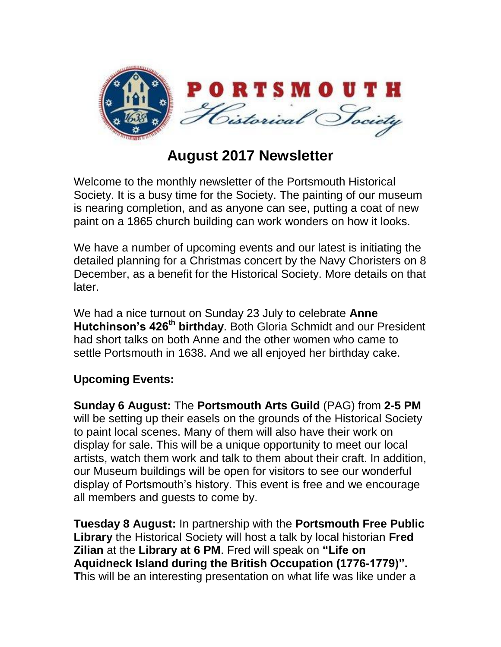

## **August 2017 Newsletter**

Welcome to the monthly newsletter of the Portsmouth Historical Society. It is a busy time for the Society. The painting of our museum is nearing completion, and as anyone can see, putting a coat of new paint on a 1865 church building can work wonders on how it looks.

We have a number of upcoming events and our latest is initiating the detailed planning for a Christmas concert by the Navy Choristers on 8 December, as a benefit for the Historical Society. More details on that later.

We had a nice turnout on Sunday 23 July to celebrate **Anne Hutchinson's 426th birthday**. Both Gloria Schmidt and our President had short talks on both Anne and the other women who came to settle Portsmouth in 1638. And we all enjoyed her birthday cake.

## **Upcoming Events:**

**Sunday 6 August:** The **Portsmouth Arts Guild** (PAG) from **2-5 PM** will be setting up their easels on the grounds of the Historical Society to paint local scenes. Many of them will also have their work on display for sale. This will be a unique opportunity to meet our local artists, watch them work and talk to them about their craft. In addition, our Museum buildings will be open for visitors to see our wonderful display of Portsmouth's history. This event is free and we encourage all members and guests to come by.

**Tuesday 8 August:** In partnership with the **Portsmouth Free Public Library** the Historical Society will host a talk by local historian **Fred Zilian** at the **Library at 6 PM**. Fred will speak on **"Life on Aquidneck Island during the British Occupation (1776-1779)". T**his will be an interesting presentation on what life was like under a